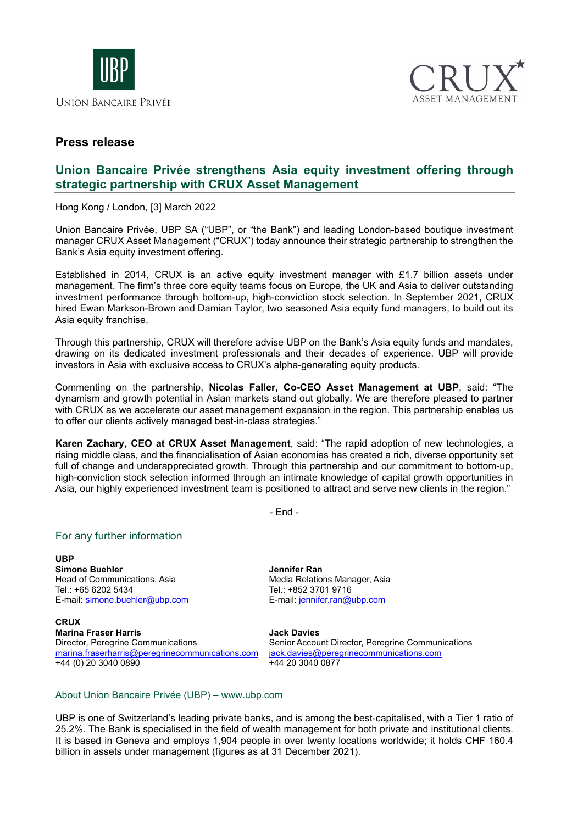



## **Press release**

# **Union Bancaire Privée strengthens Asia equity investment offering through strategic partnership with CRUX Asset Management**

Hong Kong / London, [3] March 2022

Union Bancaire Privée, UBP SA ("UBP", or "the Bank") and leading London-based boutique investment manager CRUX Asset Management ("CRUX") today announce their strategic partnership to strengthen the Bank's Asia equity investment offering.

Established in 2014, CRUX is an active equity investment manager with £1.7 billion assets under management. The firm's three core equity teams focus on Europe, the UK and Asia to deliver outstanding investment performance through bottom-up, high-conviction stock selection. In September 2021, CRUX hired Ewan Markson-Brown and Damian Taylor, two seasoned Asia equity fund managers, to build out its Asia equity franchise.

Through this partnership, CRUX will therefore advise UBP on the Bank's Asia equity funds and mandates, drawing on its dedicated investment professionals and their decades of experience. UBP will provide investors in Asia with exclusive access to CRUX's alpha-generating equity products.

Commenting on the partnership, **Nicolas Faller, Co-CEO Asset Management at UBP**, said: "The dynamism and growth potential in Asian markets stand out globally. We are therefore pleased to partner with CRUX as we accelerate our asset management expansion in the region. This partnership enables us to offer our clients actively managed best-in-class strategies."

**Karen Zachary, CEO at CRUX Asset Management**, said: "The rapid adoption of new technologies, a rising middle class, and the financialisation of Asian economies has created a rich, diverse opportunity set full of change and underappreciated growth. Through this partnership and our commitment to bottom-up, high-conviction stock selection informed through an intimate knowledge of capital growth opportunities in Asia, our highly experienced investment team is positioned to attract and serve new clients in the region."

- End -

### For any further information

**UBP Simone Buehler** Head of Communications, Asia Tel.: +65 6202 5434 E-mail: [simone.buehler@ubp.com](mailto:simone.buehler@ubp.com)

**CRUX Marina Fraser Harris** Director, Peregrine Communications [marina.fraserharris@peregrinecommunications.com](mailto:marina.fraserharris@peregrinecommunications.com) +44 (0) 20 3040 0890

**Jennifer Ran** Media Relations Manager, Asia Tel.: +852 3701 9716 E-mail: [jennifer.ran@ubp.com](mailto:jennifer.ran@ubp.com) 

**Jack Davies**

Senior Account Director, Peregrine Communications [jack.davies@peregrinecommunications.com](mailto:jack.davies@peregrinecommunications.com) +44 20 3040 0877

#### About Union Bancaire Privée (UBP) – [www.ubp.com](http://www.ubp.com/)

UBP is one of Switzerland's leading private banks, and is among the best-capitalised, with a Tier 1 ratio of 25.2%. The Bank is specialised in the field of wealth management for both private and institutional clients. It is based in Geneva and employs 1,904 people in over twenty locations worldwide; it holds CHF 160.4 billion in assets under management (figures as at 31 December 2021).